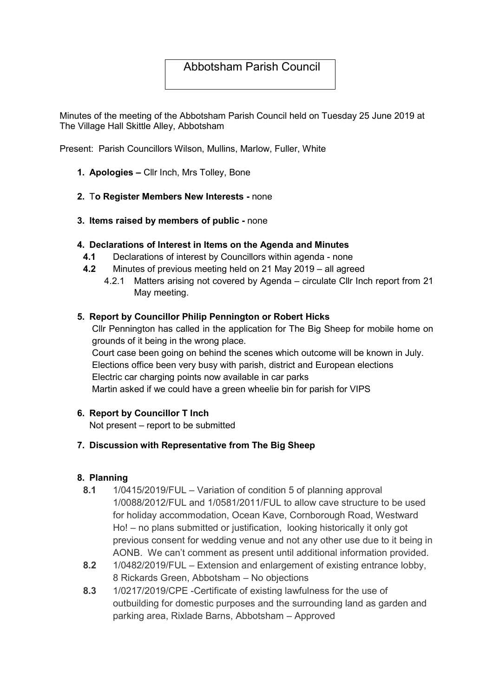# Abbotsham Parish Council

Minutes of the meeting of the Abbotsham Parish Council held on Tuesday 25 June 2019 at The Village Hall Skittle Alley, Abbotsham

Present: Parish Councillors Wilson, Mullins, Marlow, Fuller, White

- 1. Apologies Cllr Inch, Mrs Tolley, Bone
- 2. To Register Members New Interests none
- 3. Items raised by members of public none

#### 4. Declarations of Interest in Items on the Agenda and Minutes

- 4.1 Declarations of interest by Councillors within agenda none
- 4.2 Minutes of previous meeting held on 21 May 2019 all agreed
	- 4.2.1 Matters arising not covered by Agenda circulate Cllr Inch report from 21 May meeting.

#### 5. Report by Councillor Philip Pennington or Robert Hicks

Cllr Pennington has called in the application for The Big Sheep for mobile home on grounds of it being in the wrong place.

Court case been going on behind the scenes which outcome will be known in July. Elections office been very busy with parish, district and European elections Electric car charging points now available in car parks Martin asked if we could have a green wheelie bin for parish for VIPS

#### 6. Report by Councillor T Inch

Not present – report to be submitted

#### 7. Discussion with Representative from The Big Sheep

#### 8. Planning

- 8.1 1/0415/2019/FUL Variation of condition 5 of planning approval 1/0088/2012/FUL and 1/0581/2011/FUL to allow cave structure to be used for holiday accommodation, Ocean Kave, Cornborough Road, Westward Ho! – no plans submitted or justification, looking historically it only got previous consent for wedding venue and not any other use due to it being in AONB. We can't comment as present until additional information provided.
- 8.2 1/0482/2019/FUL Extension and enlargement of existing entrance lobby, 8 Rickards Green, Abbotsham – No objections
- 8.3 1/0217/2019/CPE -Certificate of existing lawfulness for the use of outbuilding for domestic purposes and the surrounding land as garden and parking area, Rixlade Barns, Abbotsham – Approved